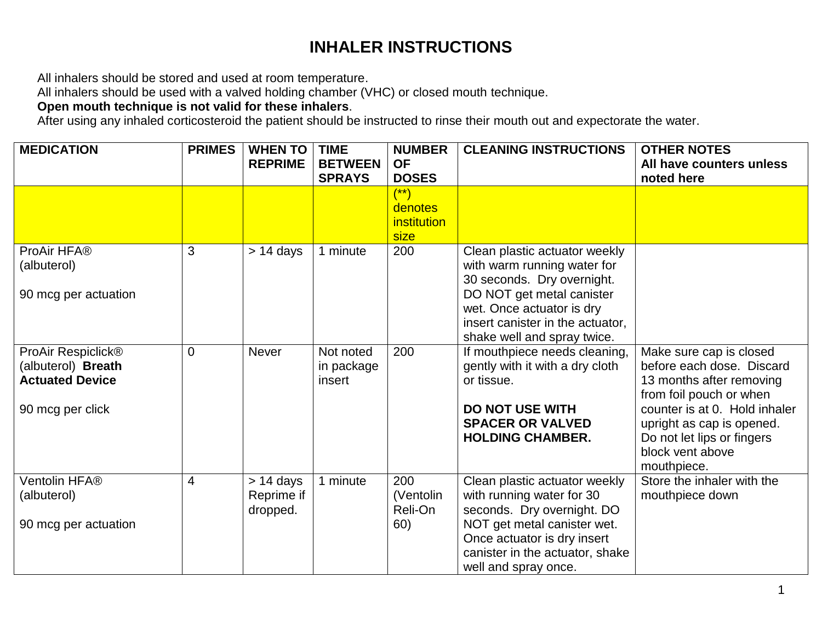## **INHALER INSTRUCTIONS**

All inhalers should be stored and used at room temperature.

All inhalers should be used with a valved holding chamber (VHC) or closed mouth technique.

**Open mouth technique is not valid for these inhalers**.

After using any inhaled corticosteroid the patient should be instructed to rinse their mouth out and expectorate the water.

| <b>MEDICATION</b>                                                                      | <b>PRIMES</b>  | <b>WHEN TO</b>                        | <b>TIME</b>                       | <b>NUMBER</b>                                            | <b>CLEANING INSTRUCTIONS</b>                                                                                                                                                                                            | <b>OTHER NOTES</b>                                                                                                                                                                                                                         |
|----------------------------------------------------------------------------------------|----------------|---------------------------------------|-----------------------------------|----------------------------------------------------------|-------------------------------------------------------------------------------------------------------------------------------------------------------------------------------------------------------------------------|--------------------------------------------------------------------------------------------------------------------------------------------------------------------------------------------------------------------------------------------|
|                                                                                        |                | <b>REPRIME</b>                        | <b>BETWEEN</b>                    | <b>OF</b>                                                |                                                                                                                                                                                                                         | All have counters unless                                                                                                                                                                                                                   |
|                                                                                        |                |                                       | <b>SPRAYS</b>                     | <b>DOSES</b>                                             |                                                                                                                                                                                                                         | noted here                                                                                                                                                                                                                                 |
|                                                                                        |                |                                       |                                   | $(\dot{ }^{\ast\ast})$<br>denotes<br>institution<br>size |                                                                                                                                                                                                                         |                                                                                                                                                                                                                                            |
| ProAir HFA®<br>(albuterol)<br>90 mcg per actuation                                     | 3              | $> 14$ days                           | 1 minute                          | 200                                                      | Clean plastic actuator weekly<br>with warm running water for<br>30 seconds. Dry overnight.<br>DO NOT get metal canister<br>wet. Once actuator is dry<br>insert canister in the actuator,<br>shake well and spray twice. |                                                                                                                                                                                                                                            |
| ProAir Respiclick®<br>(albuterol) Breath<br><b>Actuated Device</b><br>90 mcg per click | $\overline{0}$ | <b>Never</b>                          | Not noted<br>in package<br>insert | 200                                                      | If mouthpiece needs cleaning,<br>gently with it with a dry cloth<br>or tissue.<br><b>DO NOT USE WITH</b><br><b>SPACER OR VALVED</b><br><b>HOLDING CHAMBER.</b>                                                          | Make sure cap is closed<br>before each dose. Discard<br>13 months after removing<br>from foil pouch or when<br>counter is at 0. Hold inhaler<br>upright as cap is opened.<br>Do not let lips or fingers<br>block vent above<br>mouthpiece. |
| Ventolin HFA®<br>(albuterol)<br>90 mcg per actuation                                   | $\overline{4}$ | $> 14$ days<br>Reprime if<br>dropped. | 1 minute                          | 200<br>(Ventolin<br>Reli-On<br>60)                       | Clean plastic actuator weekly<br>with running water for 30<br>seconds. Dry overnight. DO<br>NOT get metal canister wet.<br>Once actuator is dry insert<br>canister in the actuator, shake<br>well and spray once.       | Store the inhaler with the<br>mouthpiece down                                                                                                                                                                                              |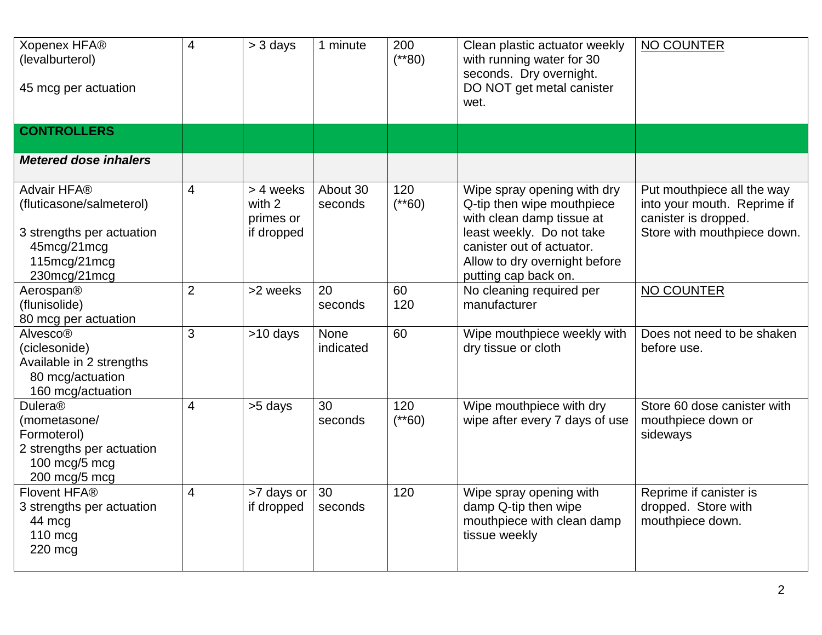| Xopenex HFA®<br>(levalburterol)<br>45 mcg per actuation                                                             | 4              | > 3 days                                       | 1 minute            | 200<br>$(*80)$  | Clean plastic actuator weekly<br>with running water for 30<br>seconds. Dry overnight.<br>DO NOT get metal canister<br>wet.                                                                                | NO COUNTER                                                                                                       |
|---------------------------------------------------------------------------------------------------------------------|----------------|------------------------------------------------|---------------------|-----------------|-----------------------------------------------------------------------------------------------------------------------------------------------------------------------------------------------------------|------------------------------------------------------------------------------------------------------------------|
| <b>CONTROLLERS</b>                                                                                                  |                |                                                |                     |                 |                                                                                                                                                                                                           |                                                                                                                  |
| <b>Metered dose inhalers</b>                                                                                        |                |                                                |                     |                 |                                                                                                                                                                                                           |                                                                                                                  |
| Advair HFA®<br>(fluticasone/salmeterol)<br>3 strengths per actuation<br>45mcg/21mcg<br>115mcg/21mcg<br>230mcg/21mcg | $\overline{4}$ | > 4 weeks<br>with 2<br>primes or<br>if dropped | About 30<br>seconds | 120<br>$(**60)$ | Wipe spray opening with dry<br>Q-tip then wipe mouthpiece<br>with clean damp tissue at<br>least weekly. Do not take<br>canister out of actuator.<br>Allow to dry overnight before<br>putting cap back on. | Put mouthpiece all the way<br>into your mouth. Reprime if<br>canister is dropped.<br>Store with mouthpiece down. |
| Aerospan®<br>(flunisolide)<br>80 mcg per actuation                                                                  | $\overline{2}$ | >2 weeks                                       | 20<br>seconds       | 60<br>120       | No cleaning required per<br>manufacturer                                                                                                                                                                  | NO COUNTER                                                                                                       |
| Alvesco®<br>(ciclesonide)<br>Available in 2 strengths<br>80 mcg/actuation<br>160 mcg/actuation                      | 3              | >10 days                                       | None<br>indicated   | 60              | Wipe mouthpiece weekly with<br>dry tissue or cloth                                                                                                                                                        | Does not need to be shaken<br>before use.                                                                        |
| <b>Dulera®</b><br>(mometasone/<br>Formoterol)<br>2 strengths per actuation<br>100 mcg/5 mcg<br>200 mcg/5 mcg        | 4              | >5 days                                        | 30<br>seconds       | 120<br>$(*60)$  | Wipe mouthpiece with dry<br>wipe after every 7 days of use                                                                                                                                                | Store 60 dose canister with<br>mouthpiece down or<br>sideways                                                    |
| Flovent HFA®<br>3 strengths per actuation<br>44 mcg<br>$110$ mcg<br>220 mcg                                         | $\overline{4}$ | >7 days or<br>if dropped                       | 30<br>seconds       | 120             | Wipe spray opening with<br>damp Q-tip then wipe<br>mouthpiece with clean damp<br>tissue weekly                                                                                                            | Reprime if canister is<br>dropped. Store with<br>mouthpiece down.                                                |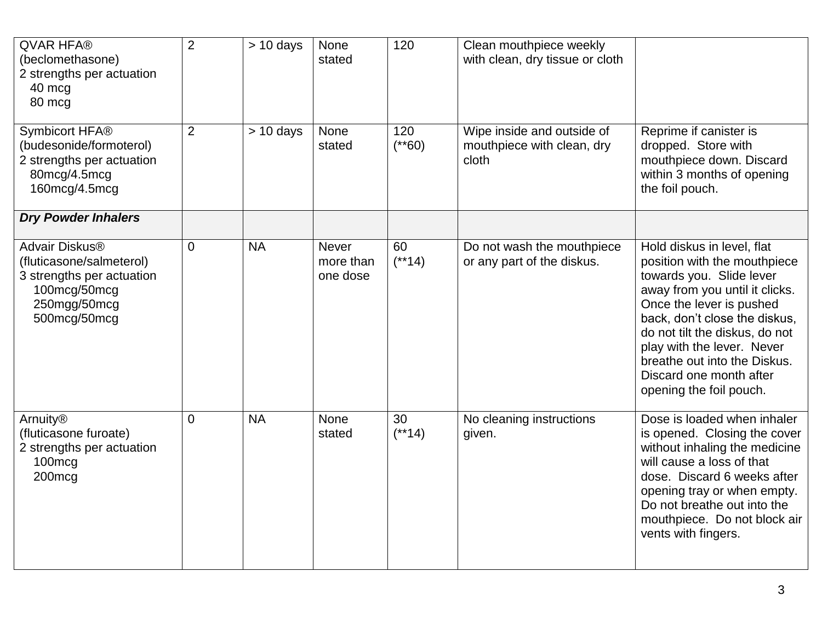| <b>QVAR HFA®</b><br>(beclomethasone)<br>2 strengths per actuation<br>40 mcg<br>80 mcg                                               | $\overline{2}$ | $> 10$ days | None<br>stated                        | 120            | Clean mouthpiece weekly<br>with clean, dry tissue or cloth        |                                                                                                                                                                                                                                                                                                                                             |
|-------------------------------------------------------------------------------------------------------------------------------------|----------------|-------------|---------------------------------------|----------------|-------------------------------------------------------------------|---------------------------------------------------------------------------------------------------------------------------------------------------------------------------------------------------------------------------------------------------------------------------------------------------------------------------------------------|
| Symbicort HFA®<br>(budesonide/formoterol)<br>2 strengths per actuation<br>80mcg/4.5mcg<br>160mcg/4.5mcg                             | 2              | $> 10$ days | <b>None</b><br>stated                 | 120<br>$(*60)$ | Wipe inside and outside of<br>mouthpiece with clean, dry<br>cloth | Reprime if canister is<br>dropped. Store with<br>mouthpiece down. Discard<br>within 3 months of opening<br>the foil pouch.                                                                                                                                                                                                                  |
| <b>Dry Powder Inhalers</b>                                                                                                          |                |             |                                       |                |                                                                   |                                                                                                                                                                                                                                                                                                                                             |
| Advair Diskus <sup>®</sup><br>(fluticasone/salmeterol)<br>3 strengths per actuation<br>100mcg/50mcg<br>250mgg/50mcg<br>500mcg/50mcg | $\overline{0}$ | <b>NA</b>   | <b>Never</b><br>more than<br>one dose | 60<br>$(**14)$ | Do not wash the mouthpiece<br>or any part of the diskus.          | Hold diskus in level, flat<br>position with the mouthpiece<br>towards you. Slide lever<br>away from you until it clicks.<br>Once the lever is pushed<br>back, don't close the diskus,<br>do not tilt the diskus, do not<br>play with the lever. Never<br>breathe out into the Diskus.<br>Discard one month after<br>opening the foil pouch. |
| Arnuity <sup>®</sup><br>(fluticasone furoate)<br>2 strengths per actuation<br>100mcg<br>200mcg                                      | 0              | <b>NA</b>   | <b>None</b><br>stated                 | 30<br>$(**14)$ | No cleaning instructions<br>given.                                | Dose is loaded when inhaler<br>is opened. Closing the cover<br>without inhaling the medicine<br>will cause a loss of that<br>dose. Discard 6 weeks after<br>opening tray or when empty.<br>Do not breathe out into the<br>mouthpiece. Do not block air<br>vents with fingers.                                                               |